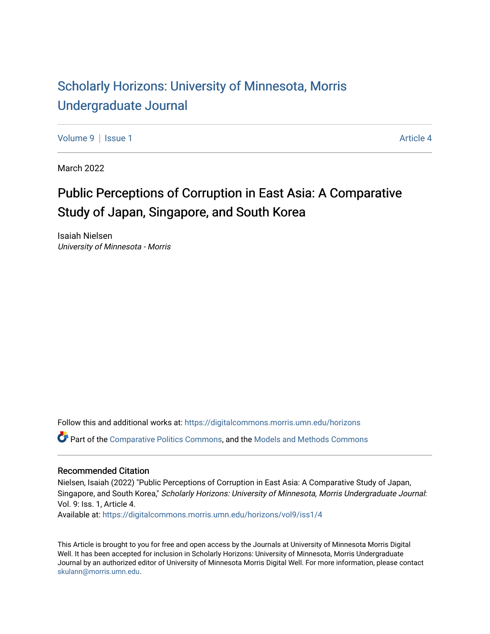# [Scholarly Horizons: University of Minnesota, Morris](https://digitalcommons.morris.umn.edu/horizons) [Undergraduate Journal](https://digitalcommons.morris.umn.edu/horizons)

[Volume 9](https://digitalcommons.morris.umn.edu/horizons/vol9) | [Issue 1](https://digitalcommons.morris.umn.edu/horizons/vol9/iss1) Article 4

March 2022

# Public Perceptions of Corruption in East Asia: A Comparative Study of Japan, Singapore, and South Korea

Isaiah Nielsen University of Minnesota - Morris

Follow this and additional works at: [https://digitalcommons.morris.umn.edu/horizons](https://digitalcommons.morris.umn.edu/horizons?utm_source=digitalcommons.morris.umn.edu%2Fhorizons%2Fvol9%2Fiss1%2F4&utm_medium=PDF&utm_campaign=PDFCoverPages) 

Part of the [Comparative Politics Commons,](https://network.bepress.com/hgg/discipline/388?utm_source=digitalcommons.morris.umn.edu%2Fhorizons%2Fvol9%2Fiss1%2F4&utm_medium=PDF&utm_campaign=PDFCoverPages) and the [Models and Methods Commons](https://network.bepress.com/hgg/discipline/390?utm_source=digitalcommons.morris.umn.edu%2Fhorizons%2Fvol9%2Fiss1%2F4&utm_medium=PDF&utm_campaign=PDFCoverPages)

#### Recommended Citation

Nielsen, Isaiah (2022) "Public Perceptions of Corruption in East Asia: A Comparative Study of Japan, Singapore, and South Korea," Scholarly Horizons: University of Minnesota, Morris Undergraduate Journal: Vol. 9: Iss. 1, Article 4.

Available at: [https://digitalcommons.morris.umn.edu/horizons/vol9/iss1/4](https://digitalcommons.morris.umn.edu/horizons/vol9/iss1/4?utm_source=digitalcommons.morris.umn.edu%2Fhorizons%2Fvol9%2Fiss1%2F4&utm_medium=PDF&utm_campaign=PDFCoverPages) 

This Article is brought to you for free and open access by the Journals at University of Minnesota Morris Digital Well. It has been accepted for inclusion in Scholarly Horizons: University of Minnesota, Morris Undergraduate Journal by an authorized editor of University of Minnesota Morris Digital Well. For more information, please contact [skulann@morris.umn.edu.](mailto:skulann@morris.umn.edu)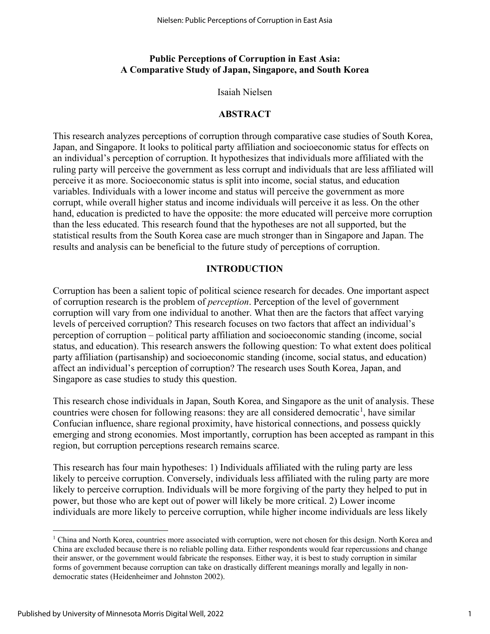# **Public Perceptions of Corruption in East Asia: A Comparative Study of Japan, Singapore, and South Korea**

Isaiah Nielsen

# **ABSTRACT**

This research analyzes perceptions of corruption through comparative case studies of South Korea, Japan, and Singapore. It looks to political party affiliation and socioeconomic status for effects on an individual's perception of corruption. It hypothesizes that individuals more affiliated with the ruling party will perceive the government as less corrupt and individuals that are less affiliated will perceive it as more. Socioeconomic status is split into income, social status, and education variables. Individuals with a lower income and status will perceive the government as more corrupt, while overall higher status and income individuals will perceive it as less. On the other hand, education is predicted to have the opposite: the more educated will perceive more corruption than the less educated. This research found that the hypotheses are not all supported, but the statistical results from the South Korea case are much stronger than in Singapore and Japan. The results and analysis can be beneficial to the future study of perceptions of corruption.

# **INTRODUCTION**

Corruption has been a salient topic of political science research for decades. One important aspect of corruption research is the problem of *perception*. Perception of the level of government corruption will vary from one individual to another. What then are the factors that affect varying levels of perceived corruption? This research focuses on two factors that affect an individual's perception of corruption – political party affiliation and socioeconomic standing (income, social status, and education). This research answers the following question: To what extent does political party affiliation (partisanship) and socioeconomic standing (income, social status, and education) affect an individual's perception of corruption? The research uses South Korea, Japan, and Singapore as case studies to study this question.

This research chose individuals in Japan, South Korea, and Singapore as the unit of analysis. These countries were chosen for following reasons: they are all considered democratic<sup>[1](#page-1-0)</sup>, have similar Confucian influence, share regional proximity, have historical connections, and possess quickly emerging and strong economies. Most importantly, corruption has been accepted as rampant in this region, but corruption perceptions research remains scarce.

This research has four main hypotheses: 1) Individuals affiliated with the ruling party are less likely to perceive corruption. Conversely, individuals less affiliated with the ruling party are more likely to perceive corruption. Individuals will be more forgiving of the party they helped to put in power, but those who are kept out of power will likely be more critical. 2) Lower income individuals are more likely to perceive corruption, while higher income individuals are less likely

<u>.</u>

<span id="page-1-0"></span> $1$  China and North Korea, countries more associated with corruption, were not chosen for this design. North Korea and China are excluded because there is no reliable polling data. Either respondents would fear repercussions and change their answer, or the government would fabricate the responses. Either way, it is best to study corruption in similar forms of government because corruption can take on drastically different meanings morally and legally in nondemocratic states (Heidenheimer and Johnston 2002).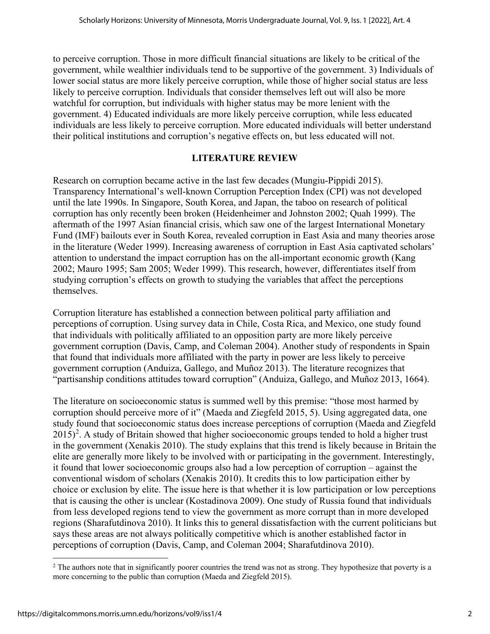to perceive corruption. Those in more difficult financial situations are likely to be critical of the government, while wealthier individuals tend to be supportive of the government. 3) Individuals of lower social status are more likely perceive corruption, while those of higher social status are less likely to perceive corruption. Individuals that consider themselves left out will also be more watchful for corruption, but individuals with higher status may be more lenient with the government. 4) Educated individuals are more likely perceive corruption, while less educated individuals are less likely to perceive corruption. More educated individuals will better understand their political institutions and corruption's negative effects on, but less educated will not.

# **LITERATURE REVIEW**

Research on corruption became active in the last few decades (Mungiu-Pippidi 2015). Transparency International's well-known Corruption Perception Index (CPI) was not developed until the late 1990s. In Singapore, South Korea, and Japan, the taboo on research of political corruption has only recently been broken (Heidenheimer and Johnston 2002; Quah 1999). The aftermath of the 1997 Asian financial crisis, which saw one of the largest International Monetary Fund (IMF) bailouts ever in South Korea, revealed corruption in East Asia and many theories arose in the literature (Weder 1999). Increasing awareness of corruption in East Asia captivated scholars' attention to understand the impact corruption has on the all-important economic growth (Kang 2002; Mauro 1995; Sam 2005; Weder 1999). This research, however, differentiates itself from studying corruption's effects on growth to studying the variables that affect the perceptions themselves.

Corruption literature has established a connection between political party affiliation and perceptions of corruption. Using survey data in Chile, Costa Rica, and Mexico, one study found that individuals with politically affiliated to an opposition party are more likely perceive government corruption (Davis, Camp, and Coleman 2004). Another study of respondents in Spain that found that individuals more affiliated with the party in power are less likely to perceive government corruption (Anduiza, Gallego, and Muñoz 2013). The literature recognizes that "partisanship conditions attitudes toward corruption" (Anduiza, Gallego, and Muñoz 2013, 1664).

The literature on socioeconomic status is summed well by this premise: "those most harmed by corruption should perceive more of it" (Maeda and Ziegfeld 2015, 5). Using aggregated data, one study found that socioeconomic status does increase perceptions of corruption (Maeda and Ziegfeld  $2015$  $2015$ <sup>2</sup>. A study of Britain showed that higher socioeconomic groups tended to hold a higher trust in the government (Xenakis 2010). The study explains that this trend is likely because in Britain the elite are generally more likely to be involved with or participating in the government. Interestingly, it found that lower socioeconomic groups also had a low perception of corruption – against the conventional wisdom of scholars (Xenakis 2010). It credits this to low participation either by choice or exclusion by elite. The issue here is that whether it is low participation or low perceptions that is causing the other is unclear (Kostadinova 2009). One study of Russia found that individuals from less developed regions tend to view the government as more corrupt than in more developed regions (Sharafutdinova 2010). It links this to general dissatisfaction with the current politicians but says these areas are not always politically competitive which is another established factor in perceptions of corruption (Davis, Camp, and Coleman 2004; Sharafutdinova 2010).

<span id="page-2-0"></span><sup>&</sup>lt;u>.</u> <sup>2</sup> The authors note that in significantly poorer countries the trend was not as strong. They hypothesize that poverty is a more concerning to the public than corruption (Maeda and Ziegfeld 2015).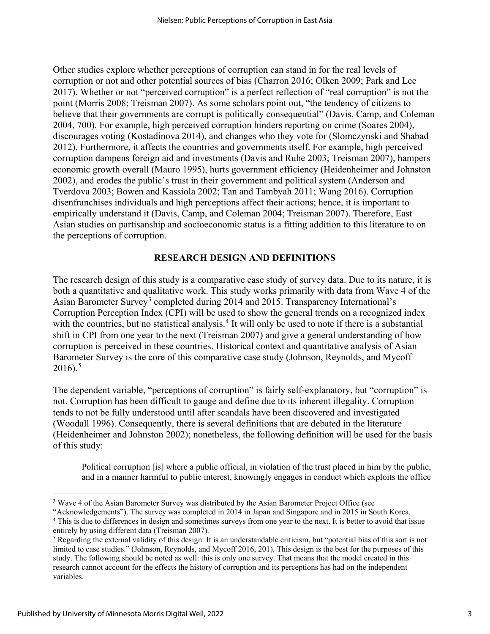Other studies explore whether perceptions of corruption can stand in for the real levels of corruption or not and other potential sources of bias (Charron 2016; Olken 2009; Park and Lee 2017). Whether or not "perceived corruption" is a perfect reflection of "real corruption" is not the point (Morris 2008; Treisman 2007). As some scholars point out, "the tendency of citizens to believe that their governments are corrupt is politically consequential" (Davis, Camp, and Coleman 2004, 700). For example, high perceived corruption hinders reporting on crime (Soares 2004), discourages voting (Kostadinova 2014), and changes who they vote for (Slomczynski and Shabad 2012). Furthermore, it affects the countries and governments itself. For example, high perceived corruption dampens foreign aid and investments (Davis and Ruhe 2003; Treisman 2007), hampers economic growth overall (Mauro 1995), hurts government efficiency (Heidenheimer and Johnston 2002), and erodes the public's trust in their government and political system (Anderson and Tverdova 2003; Bowen and Kassiola 2002; Tan and Tambyah 2011; Wang 2016). Corruption disenfranchises individuals and high perceptions affect their actions; hence, it is important to empirically understand it (Davis, Camp, and Coleman 2004; Treisman 2007). Therefore, East Asian studies on partisanship and socioeconomic status is a fitting addition to this literature to on the perceptions of corruption.

# **RESEARCH DESIGN AND DEFINITIONS**

The research design of this study is a comparative case study of survey data. Due to its nature, it is both a quantitative and qualitative work. This study works primarily with data from Wave 4 of the Asian Barometer Survey<sup>[3](#page-3-0)</sup> completed during 2014 and 2015. Transparency International's Corruption Perception Index (CPI) will be used to show the general trends on a recognized index with the countries, but no statistical analysis.<sup>[4](#page-3-1)</sup> It will only be used to note if there is a substantial shift in CPI from one year to the next (Treisman 2007) and give a general understanding of how corruption is perceived in these countries. Historical context and quantitative analysis of Asian Barometer Survey is the core of this comparative case study (Johnson, Reynolds, and Mycoff  $2016$ .<sup>[5](#page-3-2)</sup>

The dependent variable, "perceptions of corruption" is fairly self-explanatory, but "corruption" is not. Corruption has been difficult to gauge and define due to its inherent illegality. Corruption tends to not be fully understood until after scandals have been discovered and investigated (Woodall 1996). Consequently, there is several definitions that are debated in the literature (Heidenheimer and Johnston 2002); nonetheless, the following definition will be used for the basis of this study:

Political corruption [is] where a public official, in violation of the trust placed in him by the public, and in a manner harmful to public interest, knowingly engages in conduct which exploits the office

<sup>&</sup>lt;u>.</u> <sup>3</sup> Wave 4 of the Asian Barometer Survey was distributed by the Asian Barometer Project Office (see

<span id="page-3-1"></span><span id="page-3-0"></span><sup>&</sup>quot;Acknowledgements"). The survey was completed in 2014 in Japan and Singapore and in 2015 in South Korea. <sup>4</sup> This is due to differences in design and sometimes surveys from one year to the next. It is better to avoid that issue entirely by using different data (Treisman 2007).

<span id="page-3-2"></span><sup>5</sup> Regarding the external validity of this design: It is an understandable criticism, but "potential bias of this sort is not limited to case studies." (Johnson, Reynolds, and Mycoff 2016, 201). This design is the best for the purposes of this study. The following should be noted as well: this is only one survey. That means that the model created in this research cannot account for the effects the history of corruption and its perceptions has had on the independent variables.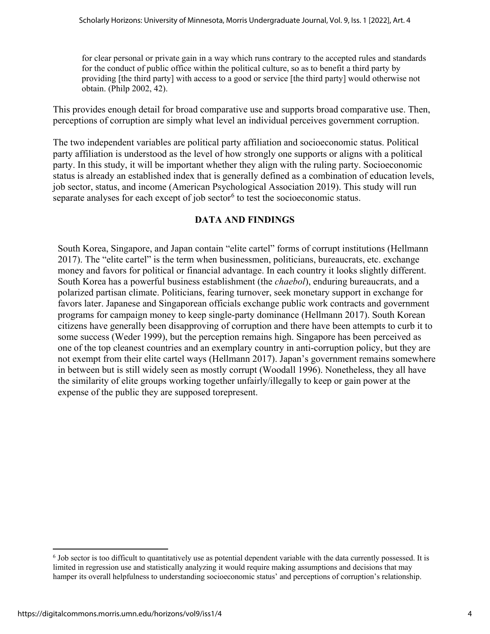for clear personal or private gain in a way which runs contrary to the accepted rules and standards for the conduct of public office within the political culture, so as to benefit a third party by providing [the third party] with access to a good or service [the third party] would otherwise not obtain. (Philp 2002, 42).

This provides enough detail for broad comparative use and supports broad comparative use. Then, perceptions of corruption are simply what level an individual perceives government corruption.

The two independent variables are political party affiliation and socioeconomic status. Political party affiliation is understood as the level of how strongly one supports or aligns with a political party. In this study, it will be important whether they align with the ruling party. Socioeconomic status is already an established index that is generally defined as a combination of education levels, job sector, status, and income (American Psychological Association 2019). This study will run separate analyses for each except of job sector $6$  to test the socioeconomic status.

# **DATA AND FINDINGS**

South Korea, Singapore, and Japan contain "elite cartel" forms of corrupt institutions (Hellmann 2017). The "elite cartel" is the term when businessmen, politicians, bureaucrats, etc. exchange money and favors for political or financial advantage. In each country it looks slightly different. South Korea has a powerful business establishment (the *chaebol*), enduring bureaucrats, and a polarized partisan climate. Politicians, fearing turnover, seek monetary support in exchange for favors later. Japanese and Singaporean officials exchange public work contracts and government programs for campaign money to keep single-party dominance (Hellmann 2017). South Korean citizens have generally been disapproving of corruption and there have been attempts to curb it to some success (Weder 1999), but the perception remains high. Singapore has been perceived as one of the top cleanest countries and an exemplary country in anti-corruption policy, but they are not exempt from their elite cartel ways (Hellmann 2017). Japan's government remains somewhere in between but is still widely seen as mostly corrupt (Woodall 1996). Nonetheless, they all have the similarity of elite groups working together unfairly/illegally to keep or gain power at the expense of the public they are supposed torepresent.

<span id="page-4-0"></span><sup>&</sup>lt;u>.</u> <sup>6</sup> Job sector is too difficult to quantitatively use as potential dependent variable with the data currently possessed. It is limited in regression use and statistically analyzing it would require making assumptions and decisions that may hamper its overall helpfulness to understanding socioeconomic status' and perceptions of corruption's relationship.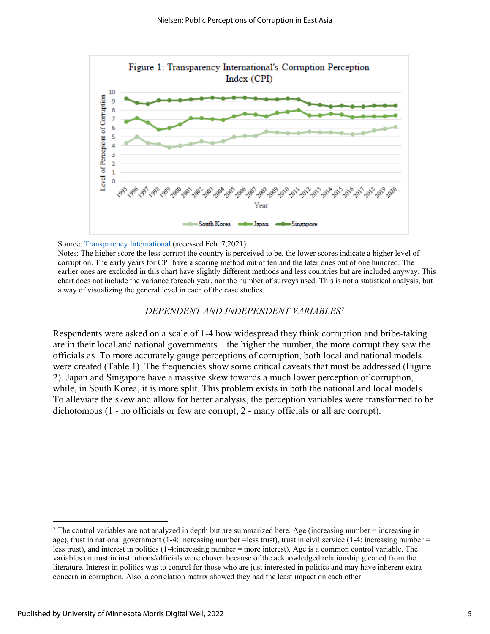

#### Source: [Transparency International](https://www.transparency.org/en/cpi) (accessed Feb. 7,2021).

Notes: The higher score the less corrupt the country is perceived to be, the lower scores indicate a higher level of corruption. The early years for CPI have a scoring method out of ten and the later ones out of one hundred. The earlier ones are excluded in this chart have slightly different methods and less countries but are included anyway. This chart does not include the variance foreach year, nor the number of surveys used. This is not a statistical analysis, but a way of visualizing the general level in each of the case studies.

#### *DEPENDENT AND INDEPENDENT VARIABLES[7](#page-5-0)*

Respondents were asked on a scale of 1-4 how widespread they think corruption and bribe-taking are in their local and national governments – the higher the number, the more corrupt they saw the officials as. To more accurately gauge perceptions of corruption, both local and national models were created (Table 1). The frequencies show some critical caveats that must be addressed (Figure 2). Japan and Singapore have a massive skew towards a much lower perception of corruption, while, in South Korea, it is more split. This problem exists in both the national and local models. To alleviate the skew and allow for better analysis, the perception variables were transformed to be dichotomous (1 - no officials or few are corrupt; 2 - many officials or all are corrupt).

<u>.</u>

<span id="page-5-0"></span> $<sup>7</sup>$  The control variables are not analyzed in depth but are summarized here. Age (increasing number = increasing in</sup> age), trust in national government  $(1-4: increasing number = less trust)$ , trust in civil service  $(1-4: increasing number = 1)$ less trust), and interest in politics (1-4:increasing number = more interest). Age is a common control variable. The variables on trust in institutions/officials were chosen because of the acknowledged relationship gleaned from the literature. Interest in politics was to control for those who are just interested in politics and may have inherent extra concern in corruption. Also, a correlation matrix showed they had the least impact on each other.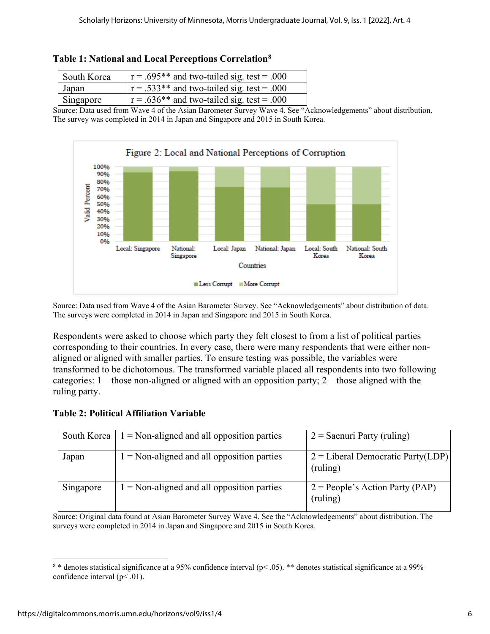| South Korea | $r = .695**$ and two-tailed sig. test = .000       |
|-------------|----------------------------------------------------|
| Japan       | $\vert$ r = .533** and two-tailed sig. test = .000 |
| Singapore   | $\vert$ r = .636** and two-tailed sig. test = .000 |

<span id="page-6-1"></span>

| Table 1: National and Local Perceptions Correlation <sup>8</sup> |
|------------------------------------------------------------------|
|------------------------------------------------------------------|

Source: Data used from Wave 4 of the Asian Barometer Survey Wave 4. See "Acknowledgements" about distribution. The survey was completed in 2014 in Japan and Singapore and 2015 in South Korea.



Source: Data used from Wave 4 of the Asian Barometer Survey. See "Acknowledgements" about distribution of data. The surveys were completed in 2014 in Japan and Singapore and 2015 in South Korea.

Respondents were asked to choose which party they felt closest to from a list of political parties corresponding to their countries. In every case, there were many respondents that were either nonaligned or aligned with smaller parties. To ensure testing was possible, the variables were transformed to be dichotomous. The transformed variable placed all respondents into two following categories: 1 – those non-aligned or aligned with an opposition party; 2 – those aligned with the ruling party.

| South Korea | $1 =$ Non-aligned and all opposition parties        | $2 =$ Saenuri Party (ruling)                    |
|-------------|-----------------------------------------------------|-------------------------------------------------|
| Japan       | $1 = \text{Non-aligned}$ and all opposition parties | $2 =$ Liberal Democratic Party(LDP)<br>(ruling) |
| Singapore   | $1 =$ Non-aligned and all opposition parties        | $2 = People's Action Party (PAP)$<br>(ruling)   |

## **Table 2: Political Affiliation Variable**

Source: Original data found at Asian Barometer Survey Wave 4. See the "Acknowledgements" about distribution. The surveys were completed in 2014 in Japan and Singapore and 2015 in South Korea.

<span id="page-6-0"></span><sup>&</sup>lt;u>.</u>  $8 *$  denotes statistical significance at a 95% confidence interval (p< .05). \*\* denotes statistical significance at a 99% confidence interval (p< .01).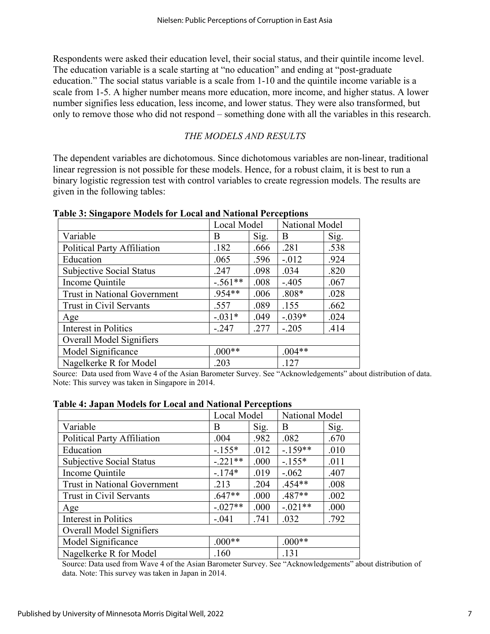Respondents were asked their education level, their social status, and their quintile income level. The education variable is a scale starting at "no education" and ending at "post-graduate education." The social status variable is a scale from 1-10 and the quintile income variable is a scale from 1-5. A higher number means more education, more income, and higher status. A lower number signifies less education, less income, and lower status. They were also transformed, but only to remove those who did not respond – something done with all the variables in this research.

# *THE MODELS AND RESULTS*

The dependent variables are dichotomous. Since dichotomous variables are non-linear, traditional linear regression is not possible for these models. Hence, for a robust claim, it is best to run a binary logistic regression test with control variables to create regression models. The results are given in the following tables:

|                                     |           | Local Model |          | National Model |  |
|-------------------------------------|-----------|-------------|----------|----------------|--|
| Variable                            | Β         | Sig.        | B        | Sig.           |  |
| <b>Political Party Affiliation</b>  | .182      | .666        | .281     | .538           |  |
| Education                           | .065      | .596        | $-.012$  | .924           |  |
| Subjective Social Status            | .247      | .098        | .034     | .820           |  |
| Income Quintile                     | $-.561**$ | .008        | $-.405$  | .067           |  |
| <b>Trust in National Government</b> | $.954**$  | .006        | $.808*$  | .028           |  |
| Trust in Civil Servants             | .557      | .089        | .155     | .662           |  |
| Age                                 | $-.031*$  | .049        | $-.039*$ | .024           |  |
| Interest in Politics                | $-.247$   | .277        | $-.205$  | .414           |  |
| Overall Model Signifiers            |           |             |          |                |  |
| Model Significance                  | $.000**$  |             | $.004**$ |                |  |
| Nagelkerke R for Model              | .203      |             | .127     |                |  |

**Table 3: Singapore Models for Local and National Perceptions**

Source: Data used from Wave 4 of the Asian Barometer Survey. See "Acknowledgements" about distribution of data. Note: This survey was taken in Singapore in 2014.

| wore to owpain neowers for Elocal and Fractional Exceptions |             |      |                |      |  |
|-------------------------------------------------------------|-------------|------|----------------|------|--|
|                                                             | Local Model |      | National Model |      |  |
| Variable                                                    | B           | Sig. | B              | Sig. |  |
| <b>Political Party Affiliation</b>                          | .004        | .982 | .082           | .670 |  |
| Education                                                   | $-.155*$    | .012 | $-.159**$      | .010 |  |
| Subjective Social Status                                    | $-.221**$   | .000 | $-.155*$       | .011 |  |
| Income Quintile                                             | $-.174*$    | .019 | $-.062$        | .407 |  |
| <b>Trust in National Government</b>                         | .213        | .204 | $.454**$       | .008 |  |
| Trust in Civil Servants                                     | $.647**$    | .000 | $.487**$       | .002 |  |
| Age                                                         | $-.027**$   | .000 | $-.021**$      | .000 |  |
| Interest in Politics                                        | $-.041$     | .741 | .032           | .792 |  |
| Overall Model Signifiers                                    |             |      |                |      |  |
| Model Significance                                          | $.000**$    |      | $.000**$       |      |  |
| Nagelkerke R for Model                                      | .160        |      | .131           |      |  |

### **Table 4: Japan Models for Local and National Perceptions**

Source: Data used from Wave 4 of the Asian Barometer Survey. See "Acknowledgements" about distribution of data. Note: This survey was taken in Japan in 2014.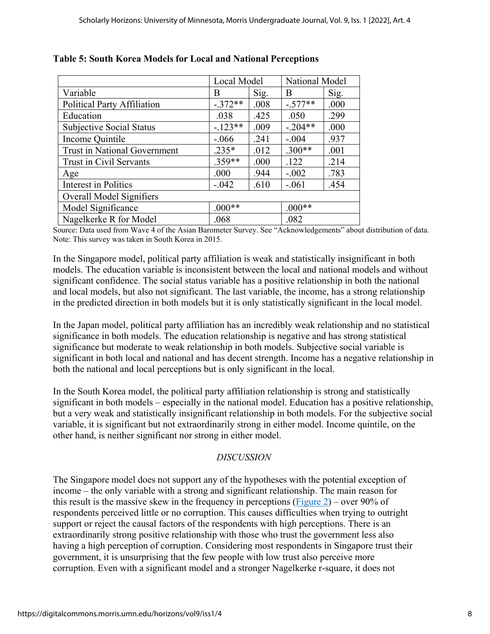|                                 | Local Model |      | National Model |      |
|---------------------------------|-------------|------|----------------|------|
| Variable                        | В           | Sig. | <sub>B</sub>   | Sig. |
| Political Party Affiliation     | $-.372**$   | .008 | $-.577**$      | .000 |
| Education                       | .038        | .425 | .050           | .299 |
| <b>Subjective Social Status</b> | $-.123**$   | .009 | $-.204**$      | .000 |
| Income Quintile                 | $-.066$     | .241 | $-.004$        | .937 |
| Trust in National Government    | $.235*$     | .012 | $.300**$       | .001 |
| Trust in Civil Servants         | $.359**$    | .000 | .122           | .214 |
| Age                             | .000        | .944 | $-.002$        | .783 |
| Interest in Politics            | $-.042$     | .610 | $-.061$        | .454 |
| Overall Model Signifiers        |             |      |                |      |
| Model Significance              | $.000**$    |      | $.000**$       |      |
| Nagelkerke R for Model          | .068        |      | .082           |      |

# **Table 5: South Korea Models for Local and National Perceptions**

Source: Data used from Wave 4 of the Asian Barometer Survey. See "Acknowledgements" about distribution of data. Note: This survey was taken in South Korea in 2015.

In the Singapore model, political party affiliation is weak and statistically insignificant in both models. The education variable is inconsistent between the local and national models and without significant confidence. The social status variable has a positive relationship in both the national and local models, but also not significant. The last variable, the income, has a strong relationship in the predicted direction in both models but it is only statistically significant in the local model.

In the Japan model, political party affiliation has an incredibly weak relationship and no statistical significance in both models. The education relationship is negative and has strong statistical significance but moderate to weak relationship in both models. Subjective social variable is significant in both local and national and has decent strength. Income has a negative relationship in both the national and local perceptions but is only significant in the local.

In the South Korea model, the political party affiliation relationship is strong and statistically significant in both models – especially in the national model. Education has a positive relationship, but a very weak and statistically insignificant relationship in both models. For the subjective social variable, it is significant but not extraordinarily strong in either model. Income quintile, on the other hand, is neither significant nor strong in either model.

# *DISCUSSION*

The Singapore model does not support any of the hypotheses with the potential exception of income – the only variable with a strong and significant relationship. The main reason for this result is the massive skew in the frequency in perceptions  $(Figure 2)$  – over 90% of respondents perceived little or no corruption. This causes difficulties when trying to outright support or reject the causal factors of the respondents with high perceptions. There is an extraordinarily strong positive relationship with those who trust the government less also having a high perception of corruption. Considering most respondents in Singapore trust their government, it is unsurprising that the few people with low trust also perceive more corruption. Even with a significant model and a stronger Nagelkerke r-square, it does not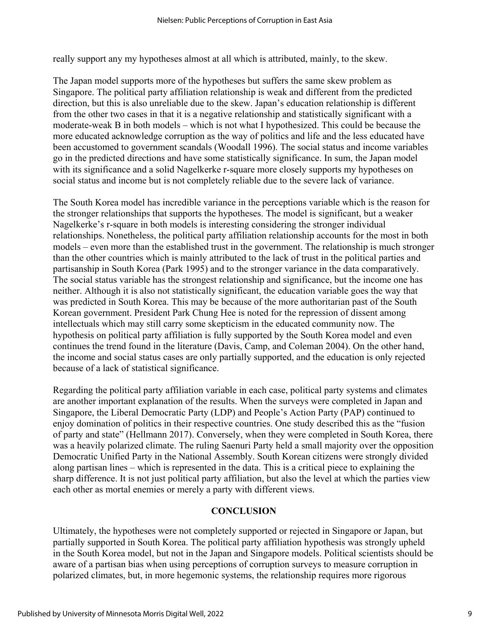really support any my hypotheses almost at all which is attributed, mainly, to the skew.

The Japan model supports more of the hypotheses but suffers the same skew problem as Singapore. The political party affiliation relationship is weak and different from the predicted direction, but this is also unreliable due to the skew. Japan's education relationship is different from the other two cases in that it is a negative relationship and statistically significant with a moderate-weak B in both models – which is not what I hypothesized. This could be because the more educated acknowledge corruption as the way of politics and life and the less educated have been accustomed to government scandals (Woodall 1996). The social status and income variables go in the predicted directions and have some statistically significance. In sum, the Japan model with its significance and a solid Nagelkerke r-square more closely supports my hypotheses on social status and income but is not completely reliable due to the severe lack of variance.

The South Korea model has incredible variance in the perceptions variable which is the reason for the stronger relationships that supports the hypotheses. The model is significant, but a weaker Nagelkerke's r-square in both models is interesting considering the stronger individual relationships. Nonetheless, the political party affiliation relationship accounts for the most in both models – even more than the established trust in the government. The relationship is much stronger than the other countries which is mainly attributed to the lack of trust in the political parties and partisanship in South Korea (Park 1995) and to the stronger variance in the data comparatively. The social status variable has the strongest relationship and significance, but the income one has neither. Although it is also not statistically significant, the education variable goes the way that was predicted in South Korea. This may be because of the more authoritarian past of the South Korean government. President Park Chung Hee is noted for the repression of dissent among intellectuals which may still carry some skepticism in the educated community now. The hypothesis on political party affiliation is fully supported by the South Korea model and even continues the trend found in the literature (Davis, Camp, and Coleman 2004). On the other hand, the income and social status cases are only partially supported, and the education is only rejected because of a lack of statistical significance.

Regarding the political party affiliation variable in each case, political party systems and climates are another important explanation of the results. When the surveys were completed in Japan and Singapore, the Liberal Democratic Party (LDP) and People's Action Party (PAP) continued to enjoy domination of politics in their respective countries. One study described this as the "fusion of party and state" (Hellmann 2017). Conversely, when they were completed in South Korea, there was a heavily polarized climate. The ruling Saenuri Party held a small majority over the opposition Democratic Unified Party in the National Assembly. South Korean citizens were strongly divided along partisan lines – which is represented in the data. This is a critical piece to explaining the sharp difference. It is not just political party affiliation, but also the level at which the parties view each other as mortal enemies or merely a party with different views.

## **CONCLUSION**

Ultimately, the hypotheses were not completely supported or rejected in Singapore or Japan, but partially supported in South Korea. The political party affiliation hypothesis was strongly upheld in the South Korea model, but not in the Japan and Singapore models. Political scientists should be aware of a partisan bias when using perceptions of corruption surveys to measure corruption in polarized climates, but, in more hegemonic systems, the relationship requires more rigorous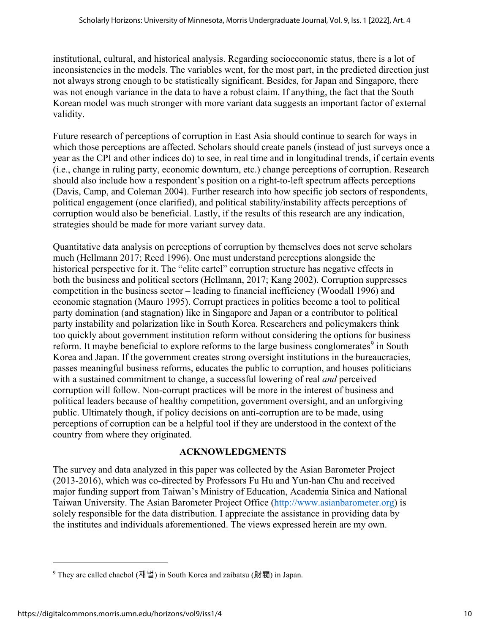institutional, cultural, and historical analysis. Regarding socioeconomic status, there is a lot of inconsistencies in the models. The variables went, for the most part, in the predicted direction just not always strong enough to be statistically significant. Besides, for Japan and Singapore, there was not enough variance in the data to have a robust claim. If anything, the fact that the South Korean model was much stronger with more variant data suggests an important factor of external validity.

Future research of perceptions of corruption in East Asia should continue to search for ways in which those perceptions are affected. Scholars should create panels (instead of just surveys once a year as the CPI and other indices do) to see, in real time and in longitudinal trends, if certain events (i.e., change in ruling party, economic downturn, etc.) change perceptions of corruption. Research should also include how a respondent's position on a right-to-left spectrum affects perceptions (Davis, Camp, and Coleman 2004). Further research into how specific job sectors of respondents, political engagement (once clarified), and political stability/instability affects perceptions of corruption would also be beneficial. Lastly, if the results of this research are any indication, strategies should be made for more variant survey data.

Quantitative data analysis on perceptions of corruption by themselves does not serve scholars much (Hellmann 2017; Reed 1996). One must understand perceptions alongside the historical perspective for it. The "elite cartel" corruption structure has negative effects in both the business and political sectors (Hellmann, 2017; Kang 2002). Corruption suppresses competition in the business sector – leading to financial inefficiency (Woodall 1996) and economic stagnation (Mauro 1995). Corrupt practices in politics become a tool to political party domination (and stagnation) like in Singapore and Japan or a contributor to political party instability and polarization like in South Korea. Researchers and policymakers think too quickly about government institution reform without considering the options for business reform. It maybe beneficial to explore reforms to the large business conglomerates<sup>[9](#page-10-0)</sup> in South Korea and Japan. If the government creates strong oversight institutions in the bureaucracies, passes meaningful business reforms, educates the public to corruption, and houses politicians with a sustained commitment to change, a successful lowering of real *and* perceived corruption will follow. Non- corrupt practices will be more in the interest of business and political leaders because of healthy competition, government oversight, and an unforgiving public. Ultimately though, if policy decisions on anti-corruption are to be made, using perceptions of corruption can be a helpful tool if they are understood in the context of the country from where they originated.

## **ACKNOWLEDGMENTS**

The survey and data analyzed in this paper was collected by the Asian Barometer Project (2013-2016), which was co-directed by Professors Fu Hu and Yun-han Chu and received major funding support from Taiwan's Ministry of Education, Academia Sinica and National Taiwan University. The Asian Barometer Project Office [\(http://www.asianbarometer.org\)](http://www.asianbarometer.org/) is solely responsible for the data distribution. I appreciate the assistance in providing data by the institutes and individuals aforementioned. The views expressed herein are my own.

<u>.</u>

<span id="page-10-0"></span><sup>&</sup>lt;sup>9</sup> They are called chaebol (재벌) in South Korea and zaibatsu (財閥) in Japan.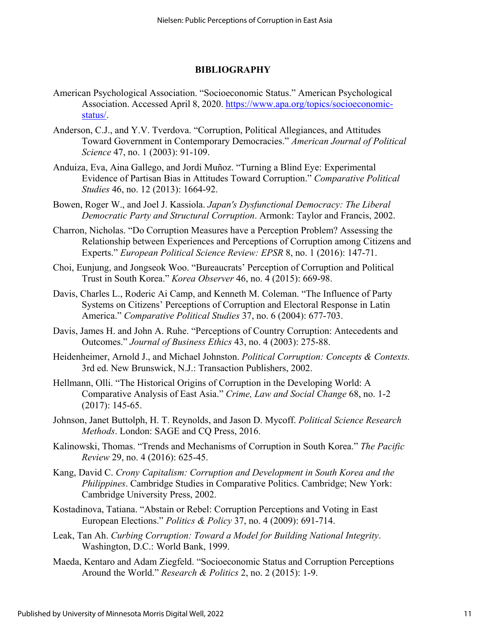### **BIBLIOGRAPHY**

- American Psychological Association. "Socioeconomic Status." American Psychological Association. Accessed April 8, 2020. [https://www.apa.org/topics/socioeconomic](https://www.apa.org/topics/socioeconomic-status/)[status/.](https://www.apa.org/topics/socioeconomic-status/)
- Anderson, C.J., and Y.V. Tverdova. "Corruption, Political Allegiances, and Attitudes Toward Government in Contemporary Democracies." *American Journal of Political Science* 47, no. 1 (2003): 91-109.
- Anduiza, Eva, Aina Gallego, and Jordi Muñoz. "Turning a Blind Eye: Experimental Evidence of Partisan Bias in Attitudes Toward Corruption." *Comparative Political Studies* 46, no. 12 (2013): 1664-92.
- Bowen, Roger W., and Joel J. Kassiola. *Japan's Dysfunctional Democracy: The Liberal Democratic Party and Structural Corruption*. Armonk: Taylor and Francis, 2002.
- Charron, Nicholas. "Do Corruption Measures have a Perception Problem? Assessing the Relationship between Experiences and Perceptions of Corruption among Citizens and Experts." *European Political Science Review: EPSR* 8, no. 1 (2016): 147-71.
- Choi, Eunjung, and Jongseok Woo. "Bureaucrats' Perception of Corruption and Political Trust in South Korea." *Korea Observer* 46, no. 4 (2015): 669-98.
- Davis, Charles L., Roderic Ai Camp, and Kenneth M. Coleman. "The Influence of Party Systems on Citizens' Perceptions of Corruption and Electoral Response in Latin America." *Comparative Political Studies* 37, no. 6 (2004): 677-703.
- Davis, James H. and John A. Ruhe. "Perceptions of Country Corruption: Antecedents and Outcomes." *Journal of Business Ethics* 43, no. 4 (2003): 275-88.
- Heidenheimer, Arnold J., and Michael Johnston. *Political Corruption: Concepts & Contexts.* 3rd ed. New Brunswick, N.J.: Transaction Publishers, 2002.
- Hellmann, Olli. "The Historical Origins of Corruption in the Developing World: A Comparative Analysis of East Asia." *Crime, Law and Social Change* 68, no. 1-2 (2017): 145-65.
- Johnson, Janet Buttolph, H. T. Reynolds, and Jason D. Mycoff. *Political Science Research Methods*. London: SAGE and CQ Press, 2016.
- Kalinowski, Thomas. "Trends and Mechanisms of Corruption in South Korea." *The Pacific Review* 29, no. 4 (2016): 625-45.
- Kang, David C. *Crony Capitalism: Corruption and Development in South Korea and the Philippines*. Cambridge Studies in Comparative Politics. Cambridge; New York: Cambridge University Press, 2002.
- Kostadinova, Tatiana. "Abstain or Rebel: Corruption Perceptions and Voting in East European Elections." *Politics & Policy* 37, no. 4 (2009): 691-714.
- Leak, Tan Ah. *Curbing Corruption: Toward a Model for Building National Integrity*. Washington, D.C.: World Bank, 1999.
- Maeda, Kentaro and Adam Ziegfeld. "Socioeconomic Status and Corruption Perceptions Around the World." *Research & Politics* 2, no. 2 (2015): 1-9.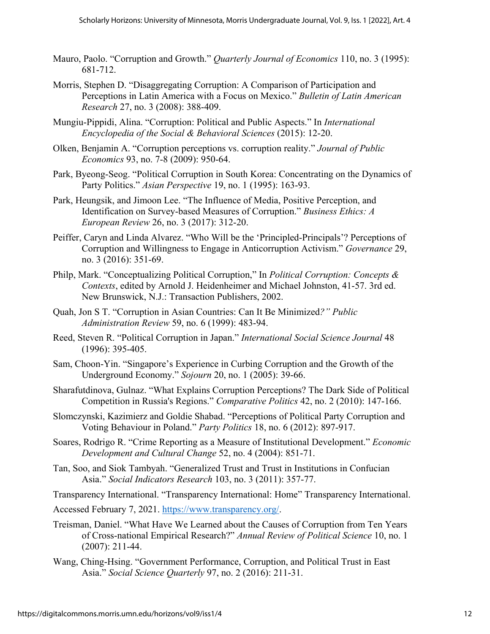- Mauro, Paolo. "Corruption and Growth." *Quarterly Journal of Economics* 110, no. 3 (1995): 681-712.
- Morris, Stephen D. "Disaggregating Corruption: A Comparison of Participation and Perceptions in Latin America with a Focus on Mexico." *Bulletin of Latin American Research* 27, no. 3 (2008): 388-409.
- Mungiu-Pippidi, Alina. "Corruption: Political and Public Aspects." In *International Encyclopedia of the Social & Behavioral Sciences* (2015): 12-20.
- Olken, Benjamin A. "Corruption perceptions vs. corruption reality." *Journal of Public Economics* 93, no. 7-8 (2009): 950-64.
- Park, Byeong-Seog. "Political Corruption in South Korea: Concentrating on the Dynamics of Party Politics." *Asian Perspective* 19, no. 1 (1995): 163-93.
- Park, Heungsik, and Jimoon Lee. "The Influence of Media, Positive Perception, and Identification on Survey‐based Measures of Corruption." *Business Ethics: A European Review* 26, no. 3 (2017): 312-20.
- Peiffer, Caryn and Linda Alvarez. "Who Will be the 'Principled-Principals'? Perceptions of Corruption and Willingness to Engage in Anticorruption Activism." *Governance* 29, no. 3 (2016): 351-69.
- Philp, Mark. "Conceptualizing Political Corruption," In *Political Corruption: Concepts & Contexts*, edited by Arnold J. Heidenheimer and Michael Johnston, 41-57. 3rd ed. New Brunswick, N.J.: Transaction Publishers, 2002.
- Quah, Jon S T. "Corruption in Asian Countries: Can It Be Minimized*?" Public Administration Review* 59, no. 6 (1999): 483-94.
- Reed, Steven R. "Political Corruption in Japan." *International Social Science Journal* 48 (1996): 395-405.
- Sam, Choon-Yin. "Singapore's Experience in Curbing Corruption and the Growth of the Underground Economy." *Sojourn* 20, no. 1 (2005): 39-66.
- Sharafutdinova, Gulnaz. "What Explains Corruption Perceptions? The Dark Side of Political Competition in Russia's Regions." *Comparative Politics* 42, no. 2 (2010): 147-166.
- Slomczynski, Kazimierz and Goldie Shabad. "Perceptions of Political Party Corruption and Voting Behaviour in Poland." *Party Politics* 18, no. 6 (2012): 897-917.
- Soares, Rodrigo R. "Crime Reporting as a Measure of Institutional Development." *Economic Development and Cultural Change* 52, no. 4 (2004): 851-71.
- Tan, Soo, and Siok Tambyah. "Generalized Trust and Trust in Institutions in Confucian Asia." *Social Indicators Research* 103, no. 3 (2011): 357-77.
- Transparency International. "Transparency International: Home" Transparency International.

Accessed February 7, 2021. [https://www.transparency.org/.](https://www.transparency.org/)

- Treisman, Daniel. "What Have We Learned about the Causes of Corruption from Ten Years of Cross-national Empirical Research?" *Annual Review of Political Science* 10, no. 1 (2007): 211-44.
- Wang, Ching‐Hsing. "Government Performance, Corruption, and Political Trust in East Asia." *Social Science Quarterly* 97, no. 2 (2016): 211-31.